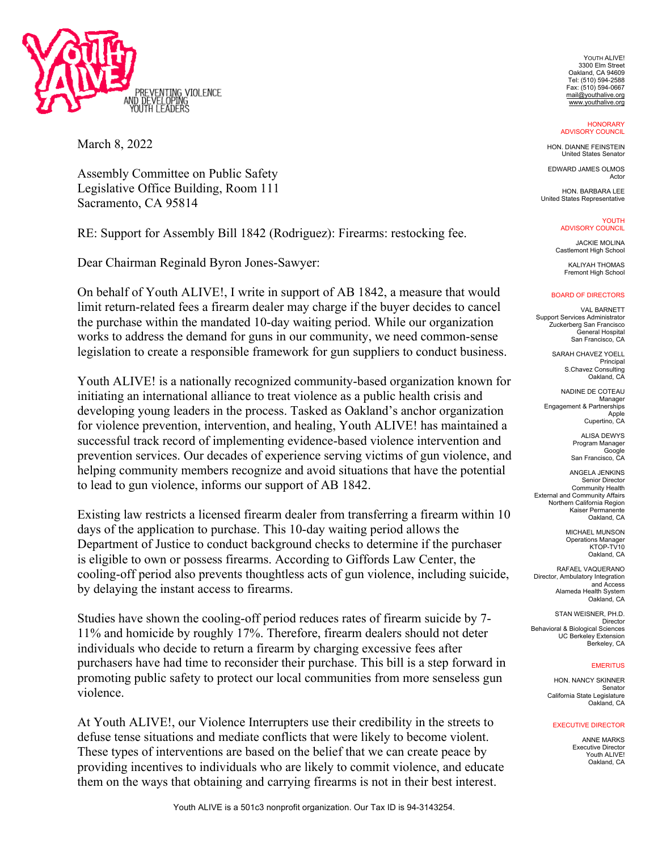

March 8, 2022

Assembly Committee on Public Safety Legislative Office Building, Room 111 Sacramento, CA 95814

RE: Support for Assembly Bill 1842 (Rodriguez): Firearms: restocking fee.

Dear Chairman Reginald Byron Jones-Sawyer:

On behalf of Youth ALIVE!, I write in support of AB 1842, a measure that would limit return-related fees a firearm dealer may charge if the buyer decides to cancel the purchase within the mandated 10-day waiting period. While our organization works to address the demand for guns in our community, we need common-sense legislation to create a responsible framework for gun suppliers to conduct business.

Youth ALIVE! is a nationally recognized community-based organization known for initiating an international alliance to treat violence as a public health crisis and developing young leaders in the process. Tasked as Oakland's anchor organization for violence prevention, intervention, and healing, Youth ALIVE! has maintained a successful track record of implementing evidence-based violence intervention and prevention services. Our decades of experience serving victims of gun violence, and helping community members recognize and avoid situations that have the potential to lead to gun violence, informs our support of AB 1842.

Existing law restricts a licensed firearm dealer from transferring a firearm within 10 days of the application to purchase. This 10-day waiting period allows the Department of Justice to conduct background checks to determine if the purchaser is eligible to own or possess firearms. According to Giffords Law Center, the cooling-off period also prevents thoughtless acts of gun violence, including suicide, by delaying the instant access to firearms.

Studies have shown the cooling-off period reduces rates of firearm suicide by 7- 11% and homicide by roughly 17%. Therefore, firearm dealers should not deter individuals who decide to return a firearm by charging excessive fees after purchasers have had time to reconsider their purchase. This bill is a step forward in promoting public safety to protect our local communities from more senseless gun violence.

At Youth ALIVE!, our Violence Interrupters use their credibility in the streets to defuse tense situations and mediate conflicts that were likely to become violent. These types of interventions are based on the belief that we can create peace by providing incentives to individuals who are likely to commit violence, and educate them on the ways that obtaining and carrying firearms is not in their best interest.

YOUTH ALIVE! 3300 Elm Street Oakland, CA 94609 Tel: (510) 594-2588 Fax: (510) 594-0667 mail@youthalive.org www.youthalive.org

**HONORARY** ADVISORY COUNCIL

HON. DIANNE FEINSTEIN United States Senator

EDWARD JAMES OLMOS Actor

HON. BARBARA LEE United States Representative

> YOUTH ADVISORY COUNCIL

JACKIE MOLINA Castlemont High School

KALIYAH THOMAS Fremont High School

## BOARD OF DIRECTORS

VAL BARNETT Support Services Administrator Zuckerberg San Francisco General Hospital San Francisco, CA

> SARAH CHAVEZ YOELL Principal S.Chavez Consulting Oakland, CA

NADINE DE COTEAU Manager Engagement & Partnerships Apple Cupertino, CA

> **ALISA DEWYS** Program Manager Google San Francisco, CA

ANGELA JENKINS Senior Director Community Health External and Community Affairs Northern California Region Kaiser Permanente Oakland, CA

> MICHAEL MUNSON Operations Manager KTOP-TV10 Oakland, CA

RAFAEL VAQUERANO Director, Ambulatory Integration and Access Alameda Health System Oakland, CA

STAN WEISNER, PH.D. Director Behavioral & Biological Sciences UC Berkeley Extension Berkeley, CA

## **EMERITUS**

HON. NANCY SKINNER Senator California State Legislature Oakland, CA

## EXECUTIVE DIRECTOR

ANNE MARKS Executive Director Youth ALIVE! Oakland, CA